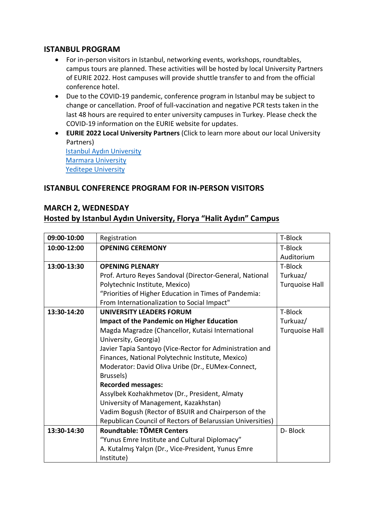## **ISTANBUL PROGRAM**

- For in-person visitors in Istanbul, networking events, workshops, roundtables, campus tours are planned. These activities will be hosted by local University Partners of EURIE 2022. Host campuses will provide shuttle transfer to and from the official conference hotel.
- Due to the COVID-19 pandemic, conference program in Istanbul may be subject to change or cancellation. Proof of full-vaccination and negative PCR tests taken in the last 48 hours are required to enter university campuses in Turkey. Please check the COVID-19 information on the EURIE website for updates.
- **EURIE 2022 Local University Partners** (Click to learn more about our local University Partners) Istanbul Aydın University Marmara University Yeditepe University

## **ISTANBUL CONFERENCE PROGRAM FOR IN-PERSON VISITORS**

#### **MARCH 2, WEDNESDAY**

#### **Hosted by Istanbul Aydın University, Florya "Halit Aydın" Campus**

| 09:00-10:00 | Registration                                               | T-Block               |
|-------------|------------------------------------------------------------|-----------------------|
| 10:00-12:00 | <b>OPENING CEREMONY</b>                                    | T-Block               |
|             |                                                            | Auditorium            |
| 13:00-13:30 | <b>OPENING PLENARY</b>                                     | T-Block               |
|             | Prof. Arturo Reyes Sandoval (Director-General, National    | Turkuaz/              |
|             | Polytechnic Institute, Mexico)                             | <b>Turquoise Hall</b> |
|             | "Priorities of Higher Education in Times of Pandemia:      |                       |
|             | From Internationalization to Social Impact"                |                       |
| 13:30-14:20 | <b>UNIVERSITY LEADERS FORUM</b>                            | T-Block               |
|             | <b>Impact of the Pandemic on Higher Education</b>          | Turkuaz/              |
|             | Magda Magradze (Chancellor, Kutaisi International          | <b>Turquoise Hall</b> |
|             | University, Georgia)                                       |                       |
|             | Javier Tapia Santoyo (Vice-Rector for Administration and   |                       |
|             | Finances, National Polytechnic Institute, Mexico)          |                       |
|             | Moderator: David Oliva Uribe (Dr., EUMex-Connect,          |                       |
|             | Brussels)                                                  |                       |
|             | <b>Recorded messages:</b>                                  |                       |
|             | Assylbek Kozhakhmetov (Dr., President, Almaty              |                       |
|             | University of Management, Kazakhstan)                      |                       |
|             | Vadim Bogush (Rector of BSUIR and Chairperson of the       |                       |
|             | Republican Council of Rectors of Belarussian Universities) |                       |
| 13:30-14:30 | Roundtable: TÖMER Centers                                  | D-Block               |
|             | "Yunus Emre Institute and Cultural Diplomacy"              |                       |
|             | A. Kutalmış Yalçın (Dr., Vice-President, Yunus Emre        |                       |
|             | Institute)                                                 |                       |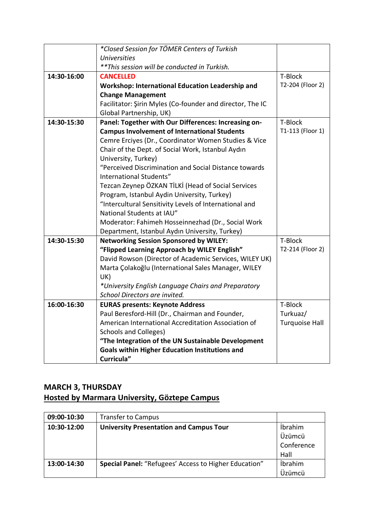|             | *Closed Session for TÖMER Centers of Turkish              |                       |
|-------------|-----------------------------------------------------------|-----------------------|
|             | <b>Universities</b>                                       |                       |
|             | ** This session will be conducted in Turkish.             |                       |
| 14:30-16:00 | <b>CANCELLED</b>                                          | T-Block               |
|             | <b>Workshop: International Education Leadership and</b>   | T2-204 (Floor 2)      |
|             | <b>Change Management</b>                                  |                       |
|             | Facilitator: Şirin Myles (Co-founder and director, The IC |                       |
|             | Global Partnership, UK)                                   |                       |
| 14:30-15:30 | Panel: Together with Our Differences: Increasing on-      | T-Block               |
|             | <b>Campus Involvement of International Students</b>       | T1-113 (Floor 1)      |
|             | Cemre Erciyes (Dr., Coordinator Women Studies & Vice      |                       |
|             | Chair of the Dept. of Social Work, Istanbul Aydın         |                       |
|             | University, Turkey)                                       |                       |
|             | "Perceived Discrimination and Social Distance towards     |                       |
|             | International Students"                                   |                       |
|             | Tezcan Zeynep ÖZKAN TİLKİ (Head of Social Services        |                       |
|             | Program, Istanbul Aydin University, Turkey)               |                       |
|             | "Intercultural Sensitivity Levels of International and    |                       |
|             | National Students at IAU"                                 |                       |
|             | Moderator: Fahimeh Hosseinnezhad (Dr., Social Work        |                       |
|             | Department, Istanbul Aydın University, Turkey)            |                       |
| 14:30-15:30 | <b>Networking Session Sponsored by WILEY:</b>             | T-Block               |
|             | "Flipped Learning Approach by WILEY English"              | T2-214 (Floor 2)      |
|             | David Rowson (Director of Academic Services, WILEY UK)    |                       |
|             | Marta Çolakoğlu (International Sales Manager, WILEY       |                       |
|             | UK)                                                       |                       |
|             | *University English Language Chairs and Preparatory       |                       |
|             | School Directors are invited.                             |                       |
| 16:00-16:30 | <b>EURAS presents: Keynote Address</b>                    | T-Block               |
|             | Paul Beresford-Hill (Dr., Chairman and Founder,           | Turkuaz/              |
|             | American International Accreditation Association of       | <b>Turquoise Hall</b> |
|             | <b>Schools and Colleges)</b>                              |                       |
|             | "The Integration of the UN Sustainable Development        |                       |
|             | <b>Goals within Higher Education Institutions and</b>     |                       |
|             | Curricula"                                                |                       |

# **MARCH 3, THURSDAY Hosted by Marmara University, Göztepe Campus**

| 09:00-10:30 | <b>Transfer to Campus</b>                             |                |
|-------------|-------------------------------------------------------|----------------|
| 10:30-12:00 | <b>University Presentation and Campus Tour</b>        | <i>ibrahim</i> |
|             |                                                       | Üzümcü         |
|             |                                                       | Conference     |
|             |                                                       | Hall           |
| 13:00-14:30 | Special Panel: "Refugees' Access to Higher Education" | <i>ibrahim</i> |
|             |                                                       | Üzümcü         |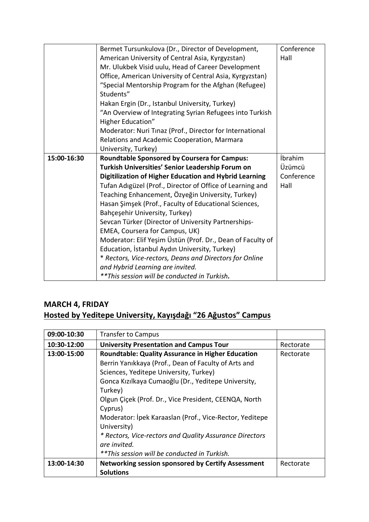|             | Bermet Tursunkulova (Dr., Director of Development,<br>American University of Central Asia, Kyrgyzstan)<br>Mr. Ulukbek Visid uulu, Head of Career Development<br>Office, American University of Central Asia, Kyrgyzstan)<br>"Special Mentorship Program for the Afghan (Refugee)<br>Students" | Conference<br>Hall |
|-------------|-----------------------------------------------------------------------------------------------------------------------------------------------------------------------------------------------------------------------------------------------------------------------------------------------|--------------------|
|             | Hakan Ergin (Dr., Istanbul University, Turkey)<br>"An Overview of Integrating Syrian Refugees into Turkish<br><b>Higher Education"</b>                                                                                                                                                        |                    |
|             | Moderator: Nuri Tinaz (Prof., Director for International<br>Relations and Academic Cooperation, Marmara<br>University, Turkey)                                                                                                                                                                |                    |
| 15:00-16:30 | <b>Roundtable Sponsored by Coursera for Campus:</b>                                                                                                                                                                                                                                           | İbrahim            |
|             | Turkish Universities' Senior Leadership Forum on                                                                                                                                                                                                                                              | Üzümcü             |
|             | Digitilization of Higher Education and Hybrid Learning                                                                                                                                                                                                                                        | Conference         |
|             | Tufan Adigüzel (Prof., Director of Office of Learning and                                                                                                                                                                                                                                     | Hall               |
|             | Teaching Enhancement, Özyeğin University, Turkey)                                                                                                                                                                                                                                             |                    |
|             | Hasan Şimşek (Prof., Faculty of Educational Sciences,                                                                                                                                                                                                                                         |                    |
|             | Bahçeşehir University, Turkey)                                                                                                                                                                                                                                                                |                    |
|             | Sevcan Türker (Director of University Partnerships-                                                                                                                                                                                                                                           |                    |
|             | EMEA, Coursera for Campus, UK)                                                                                                                                                                                                                                                                |                    |
|             | Moderator: Elif Yeşim Üstün (Prof. Dr., Dean of Faculty of                                                                                                                                                                                                                                    |                    |
|             | Education, Istanbul Aydın University, Turkey)                                                                                                                                                                                                                                                 |                    |
|             | * Rectors, Vice-rectors, Deans and Directors for Online                                                                                                                                                                                                                                       |                    |
|             | and Hybrid Learning are invited.                                                                                                                                                                                                                                                              |                    |
|             | ** This session will be conducted in Turkish.                                                                                                                                                                                                                                                 |                    |

# **MARCH 4, FRIDAY Hosted by Yeditepe University, Kayışdağı "26 Ağustos" Campus**

| 09:00-10:30 | <b>Transfer to Campus</b>                                 |           |
|-------------|-----------------------------------------------------------|-----------|
| 10:30-12:00 | <b>University Presentation and Campus Tour</b>            | Rectorate |
| 13:00-15:00 | <b>Roundtable: Quality Assurance in Higher Education</b>  | Rectorate |
|             | Berrin Yanıkkaya (Prof., Dean of Faculty of Arts and      |           |
|             | Sciences, Yeditepe University, Turkey)                    |           |
|             | Gonca Kızılkaya Cumaoğlu (Dr., Yeditepe University,       |           |
|             | Turkey)                                                   |           |
|             | Olgun Çiçek (Prof. Dr., Vice President, CEENQA, North     |           |
|             | Cyprus)                                                   |           |
|             | Moderator: İpek Karaaslan (Prof., Vice-Rector, Yeditepe   |           |
|             | University)                                               |           |
|             | * Rectors, Vice-rectors and Quality Assurance Directors   |           |
|             | are invited.                                              |           |
|             | ** This session will be conducted in Turkish.             |           |
| 13:00-14:30 | <b>Networking session sponsored by Certify Assessment</b> | Rectorate |
|             | <b>Solutions</b>                                          |           |